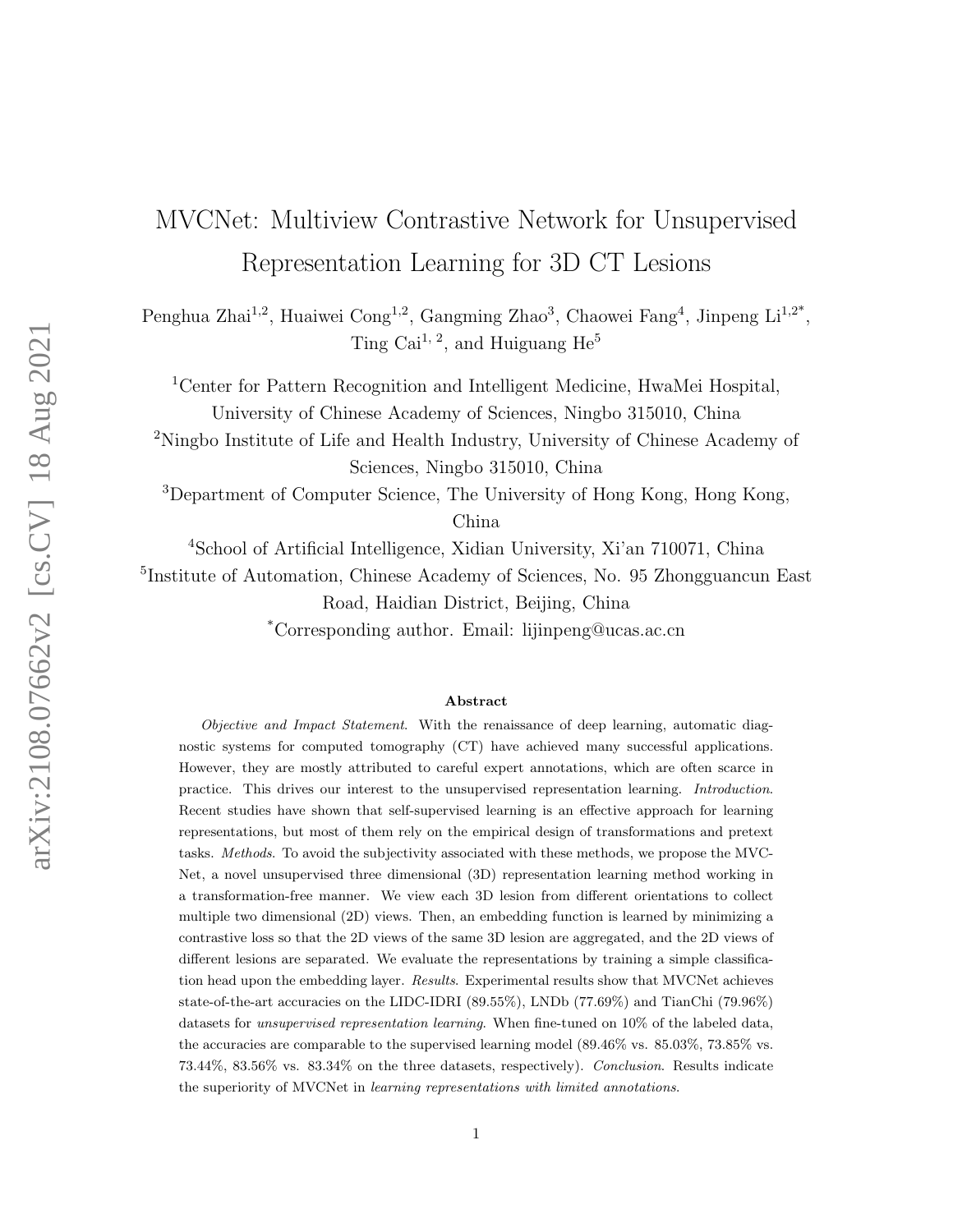# MVCNet: Multiview Contrastive Network for Unsupervised Representation Learning for 3D CT Lesions

Penghua Zhai<sup>1,2</sup>, Huaiwei Cong<sup>1,2</sup>, Gangming Zhao<sup>3</sup>, Chaowei Fang<sup>4</sup>, Jinpeng Li<sup>1,2\*</sup>, Ting Cai<sup>1, 2</sup>, and Huiguang  $He<sup>5</sup>$ 

<sup>1</sup>Center for Pattern Recognition and Intelligent Medicine, HwaMei Hospital, University of Chinese Academy of Sciences, Ningbo 315010, China

<sup>2</sup>Ningbo Institute of Life and Health Industry, University of Chinese Academy of Sciences, Ningbo 315010, China

<sup>3</sup>Department of Computer Science, The University of Hong Kong, Hong Kong, China

<sup>4</sup>School of Artificial Intelligence, Xidian University, Xi'an 710071, China

5 Institute of Automation, Chinese Academy of Sciences, No. 95 Zhongguancun East Road, Haidian District, Beijing, China

\*Corresponding author. Email: lijinpeng@ucas.ac.cn

#### Abstract

Objective and Impact Statement. With the renaissance of deep learning, automatic diagnostic systems for computed tomography (CT) have achieved many successful applications. However, they are mostly attributed to careful expert annotations, which are often scarce in practice. This drives our interest to the unsupervised representation learning. Introduction. Recent studies have shown that self-supervised learning is an effective approach for learning representations, but most of them rely on the empirical design of transformations and pretext tasks. Methods. To avoid the subjectivity associated with these methods, we propose the MVC-Net, a novel unsupervised three dimensional (3D) representation learning method working in a transformation-free manner. We view each 3D lesion from different orientations to collect multiple two dimensional (2D) views. Then, an embedding function is learned by minimizing a contrastive loss so that the 2D views of the same 3D lesion are aggregated, and the 2D views of different lesions are separated. We evaluate the representations by training a simple classification head upon the embedding layer. Results. Experimental results show that MVCNet achieves state-of-the-art accuracies on the LIDC-IDRI (89.55%), LNDb (77.69%) and TianChi (79.96%) datasets for unsupervised representation learning. When fine-tuned on 10% of the labeled data, the accuracies are comparable to the supervised learning model (89.46% vs. 85.03%, 73.85% vs. 73.44%, 83.56% vs. 83.34% on the three datasets, respectively). Conclusion. Results indicate the superiority of MVCNet in learning representations with limited annotations.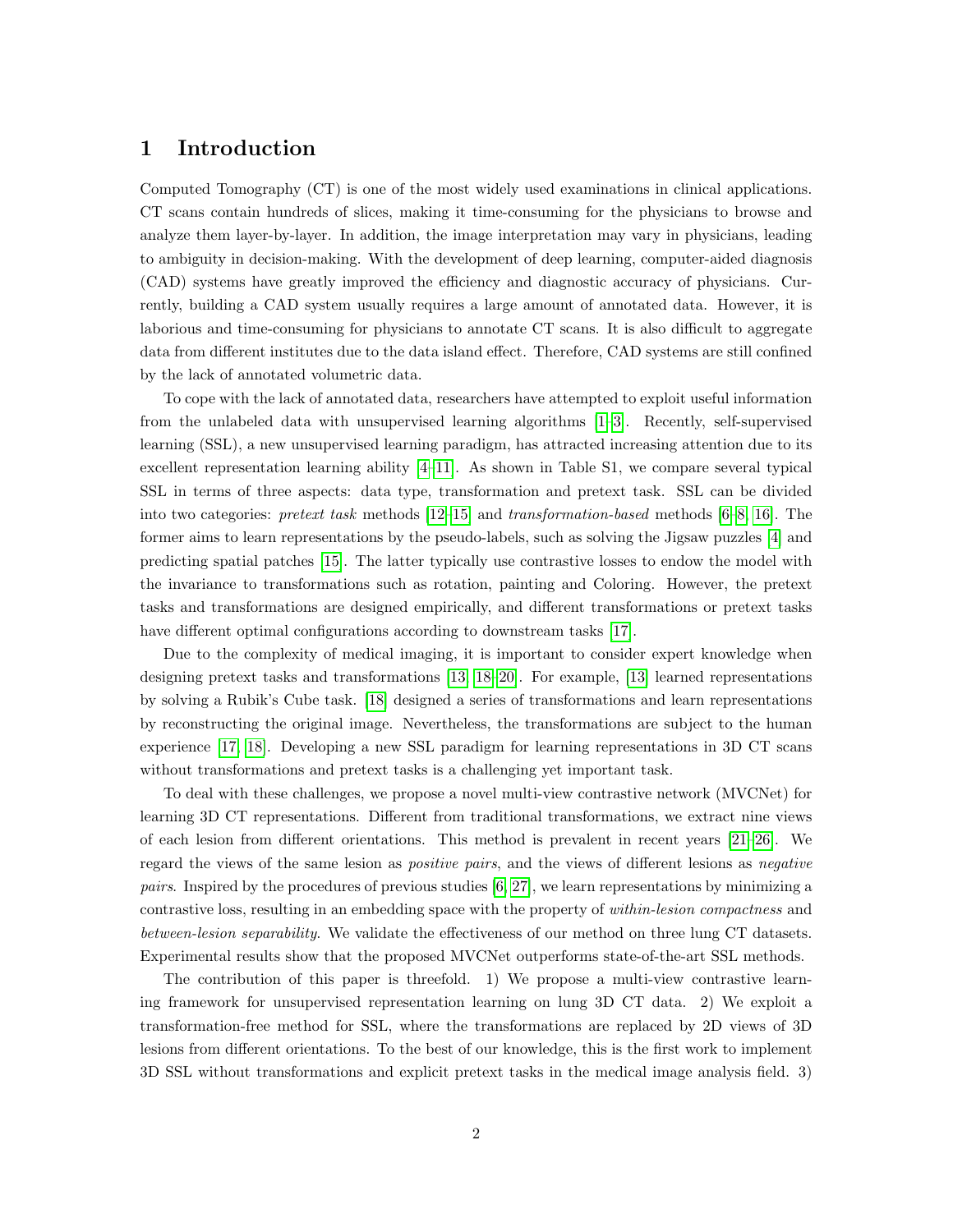# 1 Introduction

Computed Tomography (CT) is one of the most widely used examinations in clinical applications. CT scans contain hundreds of slices, making it time-consuming for the physicians to browse and analyze them layer-by-layer. In addition, the image interpretation may vary in physicians, leading to ambiguity in decision-making. With the development of deep learning, computer-aided diagnosis (CAD) systems have greatly improved the efficiency and diagnostic accuracy of physicians. Currently, building a CAD system usually requires a large amount of annotated data. However, it is laborious and time-consuming for physicians to annotate CT scans. It is also difficult to aggregate data from different institutes due to the data island effect. Therefore, CAD systems are still confined by the lack of annotated volumetric data.

To cope with the lack of annotated data, researchers have attempted to exploit useful information from the unlabeled data with unsupervised learning algorithms [\[1–](#page-13-0)[3\]](#page-13-1). Recently, self-supervised learning (SSL), a new unsupervised learning paradigm, has attracted increasing attention due to its excellent representation learning ability [\[4–](#page-13-2)[11\]](#page-14-0). As shown in Table S1, we compare several typical SSL in terms of three aspects: data type, transformation and pretext task. SSL can be divided into two categories: pretext task methods [\[12–](#page-14-1)[15\]](#page-14-2) and transformation-based methods [\[6–](#page-13-3)[8,](#page-13-4) [16\]](#page-14-3). The former aims to learn representations by the pseudo-labels, such as solving the Jigsaw puzzles [\[4\]](#page-13-2) and predicting spatial patches [\[15\]](#page-14-2). The latter typically use contrastive losses to endow the model with the invariance to transformations such as rotation, painting and Coloring. However, the pretext tasks and transformations are designed empirically, and different transformations or pretext tasks have different optimal configurations according to downstream tasks [\[17\]](#page-14-4).

Due to the complexity of medical imaging, it is important to consider expert knowledge when designing pretext tasks and transformations [\[13,](#page-14-5) [18–](#page-14-6)[20\]](#page-14-7). For example, [\[13\]](#page-14-5) learned representations by solving a Rubik's Cube task. [\[18\]](#page-14-6) designed a series of transformations and learn representations by reconstructing the original image. Nevertheless, the transformations are subject to the human experience [\[17,](#page-14-4) [18\]](#page-14-6). Developing a new SSL paradigm for learning representations in 3D CT scans without transformations and pretext tasks is a challenging yet important task.

To deal with these challenges, we propose a novel multi-view contrastive network (MVCNet) for learning 3D CT representations. Different from traditional transformations, we extract nine views of each lesion from different orientations. This method is prevalent in recent years [\[21–](#page-14-8)[26\]](#page-15-0). We regard the views of the same lesion as *positive pairs*, and the views of different lesions as *negative pairs.* Inspired by the procedures of previous studies  $[6, 27]$  $[6, 27]$ , we learn representations by minimizing a contrastive loss, resulting in an embedding space with the property of *within-lesion compactness* and between-lesion separability. We validate the effectiveness of our method on three lung CT datasets. Experimental results show that the proposed MVCNet outperforms state-of-the-art SSL methods.

The contribution of this paper is threefold. 1) We propose a multi-view contrastive learning framework for unsupervised representation learning on lung 3D CT data. 2) We exploit a transformation-free method for SSL, where the transformations are replaced by 2D views of 3D lesions from different orientations. To the best of our knowledge, this is the first work to implement 3D SSL without transformations and explicit pretext tasks in the medical image analysis field. 3)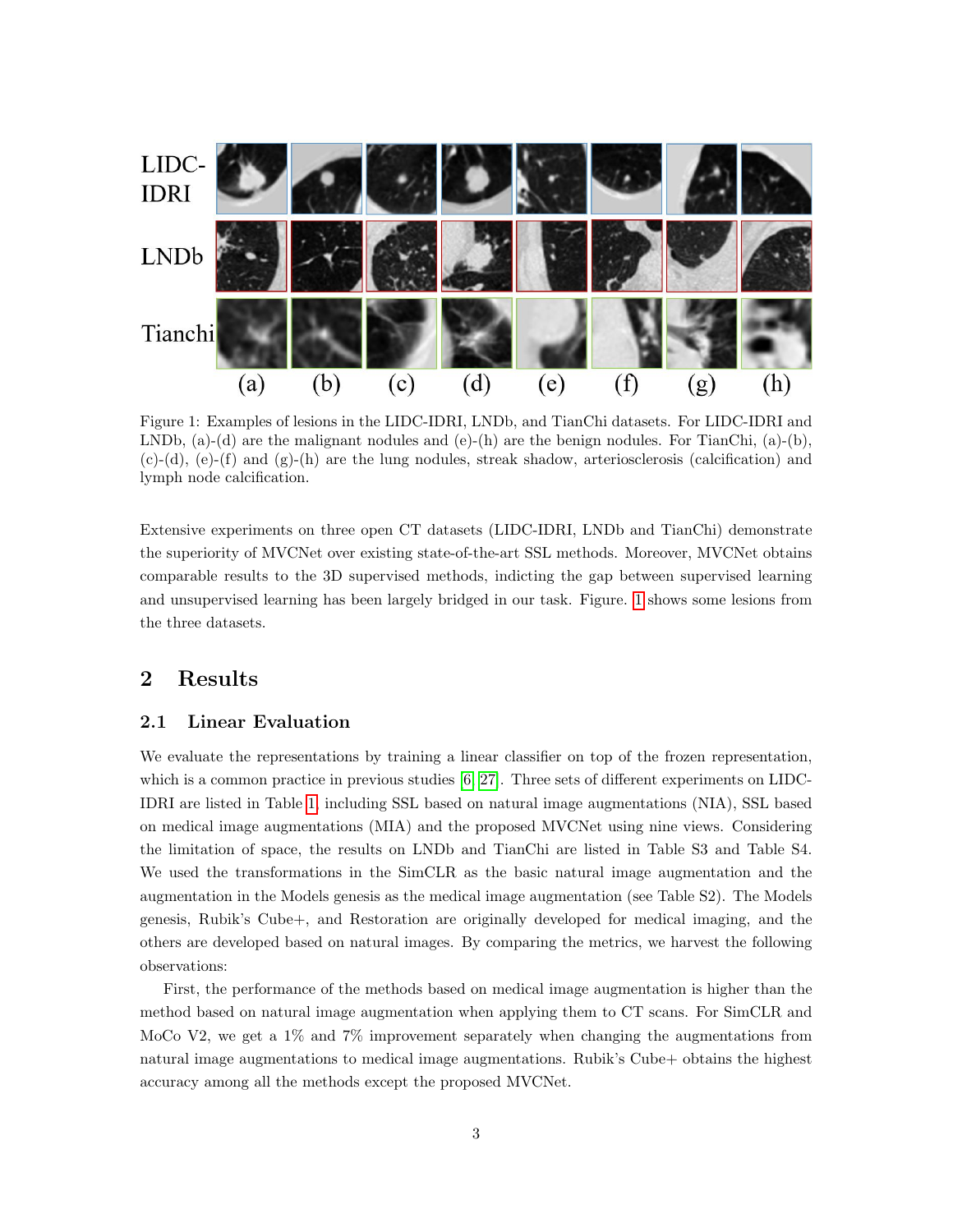<span id="page-2-0"></span>

Figure 1: Examples of lesions in the LIDC-IDRI, LNDb, and TianChi datasets. For LIDC-IDRI and LNDb,  $(a)$ - $(d)$  are the malignant nodules and  $(e)$ - $(h)$  are the benign nodules. For TianChi,  $(a)$ - $(b)$ ,  $(c)-(d)$ ,  $(e)-(f)$  and  $(g)-(h)$  are the lung nodules, streak shadow, arteriosclerosis (calcification) and lymph node calcification.

Extensive experiments on three open CT datasets (LIDC-IDRI, LNDb and TianChi) demonstrate the superiority of MVCNet over existing state-of-the-art SSL methods. Moreover, MVCNet obtains comparable results to the 3D supervised methods, indicting the gap between supervised learning and unsupervised learning has been largely bridged in our task. Figure. [1](#page-2-0) shows some lesions from the three datasets.

# 2 Results

#### 2.1 Linear Evaluation

We evaluate the representations by training a linear classifier on top of the frozen representation, which is a common practice in previous studies  $[6, 27]$  $[6, 27]$ . Three sets of different experiments on LIDC-IDRI are listed in Table [1,](#page-3-0) including SSL based on natural image augmentations (NIA), SSL based on medical image augmentations (MIA) and the proposed MVCNet using nine views. Considering the limitation of space, the results on LNDb and TianChi are listed in Table S3 and Table S4. We used the transformations in the SimCLR as the basic natural image augmentation and the augmentation in the Models genesis as the medical image augmentation (see Table S2). The Models genesis, Rubik's Cube+, and Restoration are originally developed for medical imaging, and the others are developed based on natural images. By comparing the metrics, we harvest the following observations:

First, the performance of the methods based on medical image augmentation is higher than the method based on natural image augmentation when applying them to CT scans. For SimCLR and MoCo V2, we get a 1% and 7% improvement separately when changing the augmentations from natural image augmentations to medical image augmentations. Rubik's Cube+ obtains the highest accuracy among all the methods except the proposed MVCNet.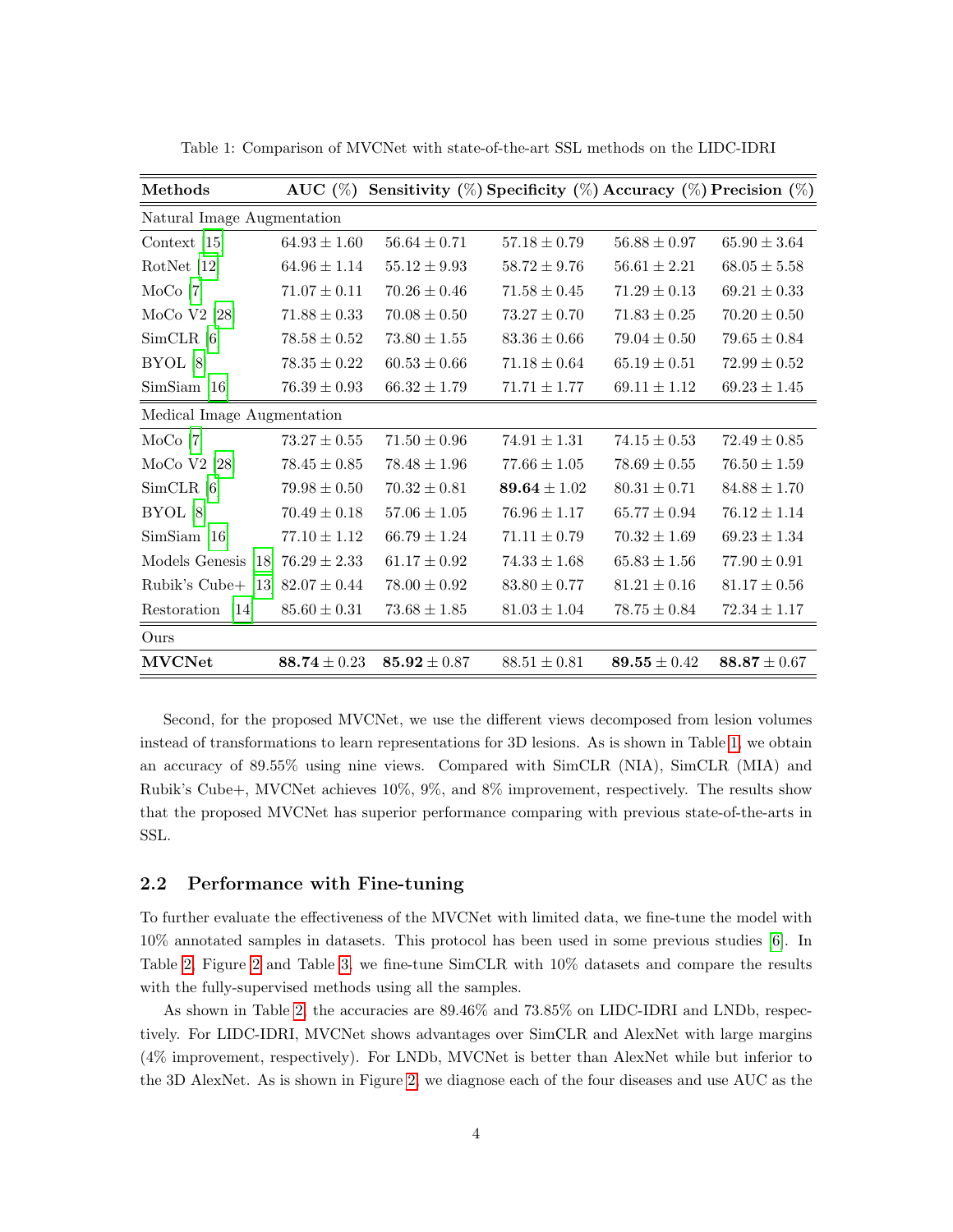| Methods                              | AUC $(\%)$       |                  | Sensitivity $(\%)$ Specificity $(\%)$ Accuracy $(\%)$ Precision $(\%)$ |                  |                  |  |
|--------------------------------------|------------------|------------------|------------------------------------------------------------------------|------------------|------------------|--|
| Natural Image Augmentation           |                  |                  |                                                                        |                  |                  |  |
| Context $[15]$                       | $64.93 \pm 1.60$ | $56.64 \pm 0.71$ | $57.18 \pm 0.79$                                                       | $56.88 \pm 0.97$ | $65.90 \pm 3.64$ |  |
| RotNet [12]                          | $64.96 \pm 1.14$ | $55.12 \pm 9.93$ | $58.72 \pm 9.76$                                                       | $56.61 \pm 2.21$ | $68.05 \pm 5.58$ |  |
| MoCo <sub>[7]</sub>                  | $71.07 \pm 0.11$ | $70.26 \pm 0.46$ | $71.58 \pm 0.45$                                                       | $71.29 \pm 0.13$ | $69.21 \pm 0.33$ |  |
| MoCo V2 $[28]$                       | $71.88 \pm 0.33$ | $70.08 \pm 0.50$ | $73.27 \pm 0.70$                                                       | $71.83 \pm 0.25$ | $70.20 \pm 0.50$ |  |
| $SimCLR$ [6]                         | $78.58 \pm 0.52$ | $73.80 \pm 1.55$ | $83.36\pm0.66$                                                         | $79.04 \pm 0.50$ | $79.65 \pm 0.84$ |  |
| BYOL[8]                              | $78.35 \pm 0.22$ | $60.53 \pm 0.66$ | $71.18 \pm 0.64$                                                       | $65.19 \pm 0.51$ | $72.99 \pm 0.52$ |  |
| SimSiam [16]                         | $76.39 \pm 0.93$ | $66.32 \pm 1.79$ | $71.71 \pm 1.77$                                                       | $69.11 \pm 1.12$ | $69.23 \pm 1.45$ |  |
| Medical Image Augmentation           |                  |                  |                                                                        |                  |                  |  |
| MoCo <sub>[7]</sub>                  | $73.27 \pm 0.55$ | $71.50 \pm 0.96$ | $74.91 \pm 1.31$                                                       | $74.15 \pm 0.53$ | $72.49 \pm 0.85$ |  |
| MoCo V2 $[28]$                       | $78.45 \pm 0.85$ | $78.48 \pm 1.96$ | $77.66 \pm 1.05$                                                       | $78.69 \pm 0.55$ | $76.50\pm1.59$   |  |
| $SimCLR$ [6]                         | $79.98 \pm 0.50$ | $70.32 \pm 0.81$ | 89.64 $\pm 1.02$                                                       | $80.31 \pm 0.71$ | $84.88 \pm 1.70$ |  |
| BYOL <sup>[8]</sup>                  | $70.49 \pm 0.18$ | $57.06\pm1.05$   | $76.96 \pm 1.17$                                                       | $65.77 \pm 0.94$ | $76.12 \pm 1.14$ |  |
| SimSiam [16]                         | $77.10 \pm 1.12$ | $66.79 \pm 1.24$ | $71.11 \pm 0.79$                                                       | $70.32 \pm 1.69$ | $69.23 \pm 1.34$ |  |
| Models Genesis [18] $76.29 \pm 2.33$ |                  | $61.17 \pm 0.92$ | $74.33 \pm 1.68$                                                       | $65.83 \pm 1.56$ | $77.90 \pm 0.91$ |  |
| Rubik's Cube+ $[13]$                 | $82.07 \pm 0.44$ | $78.00 \pm 0.92$ | $83.80 \pm 0.77$                                                       | $81.21 \pm 0.16$ | $81.17 \pm 0.56$ |  |
| Restoration [14]                     | $85.60\pm0.31$   | $73.68 \pm 1.85$ | $81.03 \pm 1.04$                                                       | $78.75 \pm 0.84$ | $72.34 \pm 1.17$ |  |
| Ours                                 |                  |                  |                                                                        |                  |                  |  |
| <b>MVCNet</b>                        | 88.74 $\pm$ 0.23 | $85.92 \pm 0.87$ | $88.51 \pm 0.81$                                                       | 89.55 $\pm$ 0.42 | $88.87 \pm 0.67$ |  |

<span id="page-3-0"></span>Table 1: Comparison of MVCNet with state-of-the-art SSL methods on the LIDC-IDRI

Second, for the proposed MVCNet, we use the different views decomposed from lesion volumes instead of transformations to learn representations for 3D lesions. As is shown in Table [1,](#page-3-0) we obtain an accuracy of 89.55% using nine views. Compared with SimCLR (NIA), SimCLR (MIA) and Rubik's Cube+, MVCNet achieves 10%, 9%, and 8% improvement, respectively. The results show that the proposed MVCNet has superior performance comparing with previous state-of-the-arts in SSL.

## 2.2 Performance with Fine-tuning

To further evaluate the effectiveness of the MVCNet with limited data, we fine-tune the model with 10% annotated samples in datasets. This protocol has been used in some previous studies [\[6\]](#page-13-3). In Table [2,](#page-4-0) Figure [2](#page-5-0) and Table [3,](#page-4-1) we fine-tune SimCLR with 10% datasets and compare the results with the fully-supervised methods using all the samples.

As shown in Table [2,](#page-4-0) the accuracies are 89.46% and 73.85% on LIDC-IDRI and LNDb, respectively. For LIDC-IDRI, MVCNet shows advantages over SimCLR and AlexNet with large margins (4% improvement, respectively). For LNDb, MVCNet is better than AlexNet while but inferior to the 3D AlexNet. As is shown in Figure [2,](#page-5-0) we diagnose each of the four diseases and use AUC as the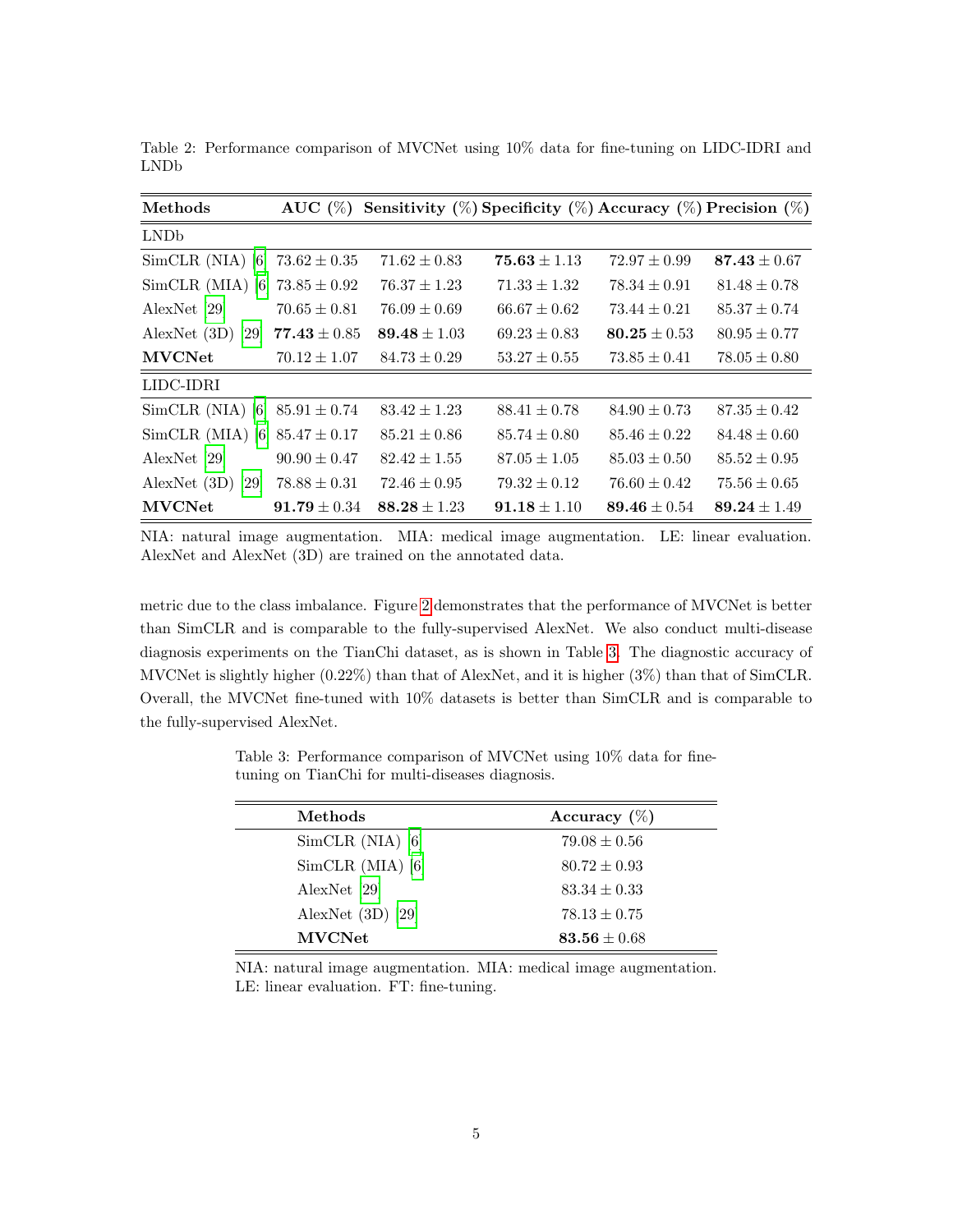| Methods                           | AUC $(\%)$       |                  | Sensitivity $(\%)$ Specificity $(\%)$ Accuracy $(\%)$ Precision $(\%)$ |                  |                  |
|-----------------------------------|------------------|------------------|------------------------------------------------------------------------|------------------|------------------|
| LNDb                              |                  |                  |                                                                        |                  |                  |
| $SimCLR(NIA)$ [6]                 | $73.62 \pm 0.35$ | $71.62 \pm 0.83$ | $75.63 \pm 1.13$                                                       | $72.97 \pm 0.99$ | $87.43 \pm 0.67$ |
| SimCLR (MIA) [6] $73.85 \pm 0.92$ |                  | $76.37 \pm 1.23$ | $71.33 \pm 1.32$                                                       | $78.34 \pm 0.91$ | $81.48 \pm 0.78$ |
| AlexNet [29]                      | $70.65 \pm 0.81$ | $76.09 \pm 0.69$ | $66.67 \pm 0.62$                                                       | $73.44 \pm 0.21$ | $85.37 \pm 0.74$ |
| AlexNet $(3D)$ [29]               | $77.43 \pm 0.85$ | 89.48 $\pm 1.03$ | $69.23 \pm 0.83$                                                       | 80.25 $\pm 0.53$ | $80.95 \pm 0.77$ |
| <b>MVCNet</b>                     | $70.12 \pm 1.07$ | $84.73 \pm 0.29$ | $53.27 \pm 0.55$                                                       | $73.85 \pm 0.41$ | $78.05 \pm 0.80$ |
| LIDC-IDRI                         |                  |                  |                                                                        |                  |                  |
| SimCLR (NIA) [6] $85.91 \pm 0.74$ |                  | $83.42 \pm 1.23$ | $88.41 \pm 0.78$                                                       | $84.90 \pm 0.73$ | $87.35 \pm 0.42$ |
| SimCLR (MIA) [6] $85.47 \pm 0.17$ |                  | $85.21 \pm 0.86$ | $85.74 \pm 0.80$                                                       | $85.46 \pm 0.22$ | $84.48 \pm 0.60$ |
| AlexNet [29]                      | $90.90 \pm 0.47$ | $82.42 \pm 1.55$ | $87.05 \pm 1.05$                                                       | $85.03 \pm 0.50$ | $85.52 \pm 0.95$ |
| AlexNet $(3D)$ [29]               | $78.88 \pm 0.31$ | $72.46 \pm 0.95$ | $79.32 \pm 0.12$                                                       | $76.60 \pm 0.42$ | $75.56 \pm 0.65$ |
| <b>MVCNet</b>                     | $91.79 \pm 0.34$ | $88.28 \pm 1.23$ | $91.18 \pm 1.10$                                                       | $89.46 \pm 0.54$ | $89.24 \pm 1.49$ |

<span id="page-4-0"></span>Table 2: Performance comparison of MVCNet using 10% data for fine-tuning on LIDC-IDRI and LNDb

NIA: natural image augmentation. MIA: medical image augmentation. LE: linear evaluation. AlexNet and AlexNet (3D) are trained on the annotated data.

metric due to the class imbalance. Figure [2](#page-5-0) demonstrates that the performance of MVCNet is better than SimCLR and is comparable to the fully-supervised AlexNet. We also conduct multi-disease diagnosis experiments on the TianChi dataset, as is shown in Table [3.](#page-4-1) The diagnostic accuracy of MVCNet is slightly higher (0.22%) than that of AlexNet, and it is higher (3%) than that of SimCLR. Overall, the MVCNet fine-tuned with 10% datasets is better than SimCLR and is comparable to the fully-supervised AlexNet.

<span id="page-4-1"></span>Table 3: Performance comparison of MVCNet using 10% data for finetuning on TianChi for multi-diseases diagnosis.

| Methods             | Accuracy $(\%)$  |
|---------------------|------------------|
| $SimCLR$ (NIA) [6]  | $79.08 \pm 0.56$ |
| SimCLR (MIA) [6]    | $80.72 \pm 0.93$ |
| AlexNet [29]        | $83.34 \pm 0.33$ |
| AlexNet $(3D)$ [29] | $78.13 \pm 0.75$ |
| <b>MVCNet</b>       | 83.56 $\pm 0.68$ |

NIA: natural image augmentation. MIA: medical image augmentation. LE: linear evaluation. FT: fine-tuning.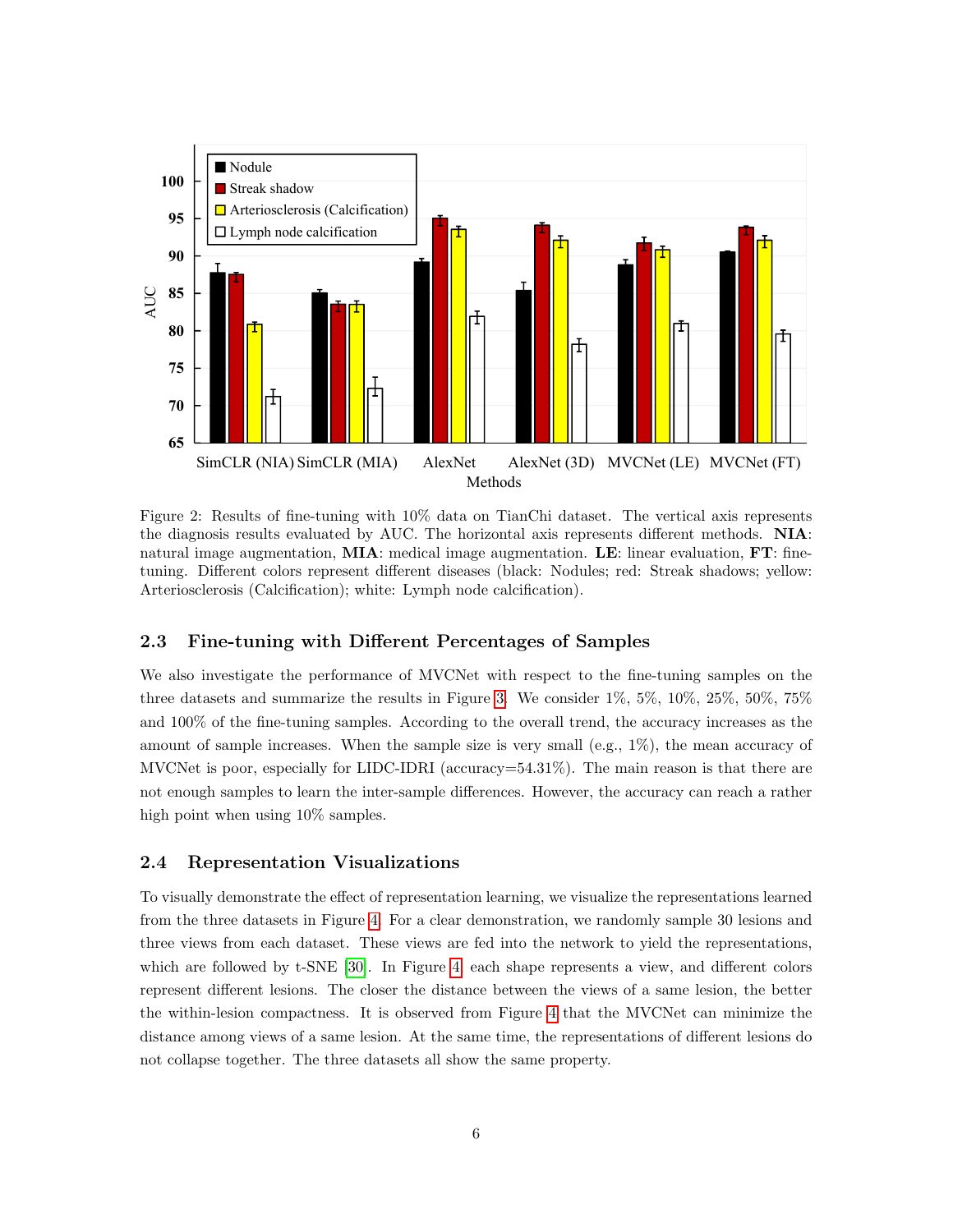<span id="page-5-0"></span>

Figure 2: Results of fine-tuning with 10% data on TianChi dataset. The vertical axis represents the diagnosis results evaluated by AUC. The horizontal axis represents different methods. NIA: natural image augmentation,  $\bf{MIA:}$  medical image augmentation.  $\bf{LE:}$  linear evaluation,  $\bf{FT:}$  finetuning. Different colors represent different diseases (black: Nodules; red: Streak shadows; yellow: Arteriosclerosis (Calcification); white: Lymph node calcification).

#### 2.3 Fine-tuning with Different Percentages of Samples

We also investigate the performance of MVCNet with respect to the fine-tuning samples on the three datasets and summarize the results in Figure [3.](#page-6-0) We consider 1%, 5%, 10%, 25%, 50%, 75% and 100% of the fine-tuning samples. According to the overall trend, the accuracy increases as the amount of sample increases. When the sample size is very small (e.g., 1%), the mean accuracy of MVCNet is poor, especially for LIDC-IDRI (accuracy=54.31%). The main reason is that there are not enough samples to learn the inter-sample differences. However, the accuracy can reach a rather high point when using  $10\%$  samples.

#### 2.4 Representation Visualizations

To visually demonstrate the effect of representation learning, we visualize the representations learned from the three datasets in Figure [4.](#page-7-0) For a clear demonstration, we randomly sample 30 lesions and three views from each dataset. These views are fed into the network to yield the representations, which are followed by t-SNE [\[30\]](#page-15-4). In Figure [4,](#page-7-0) each shape represents a view, and different colors represent different lesions. The closer the distance between the views of a same lesion, the better the within-lesion compactness. It is observed from Figure [4](#page-7-0) that the MVCNet can minimize the distance among views of a same lesion. At the same time, the representations of different lesions do not collapse together. The three datasets all show the same property.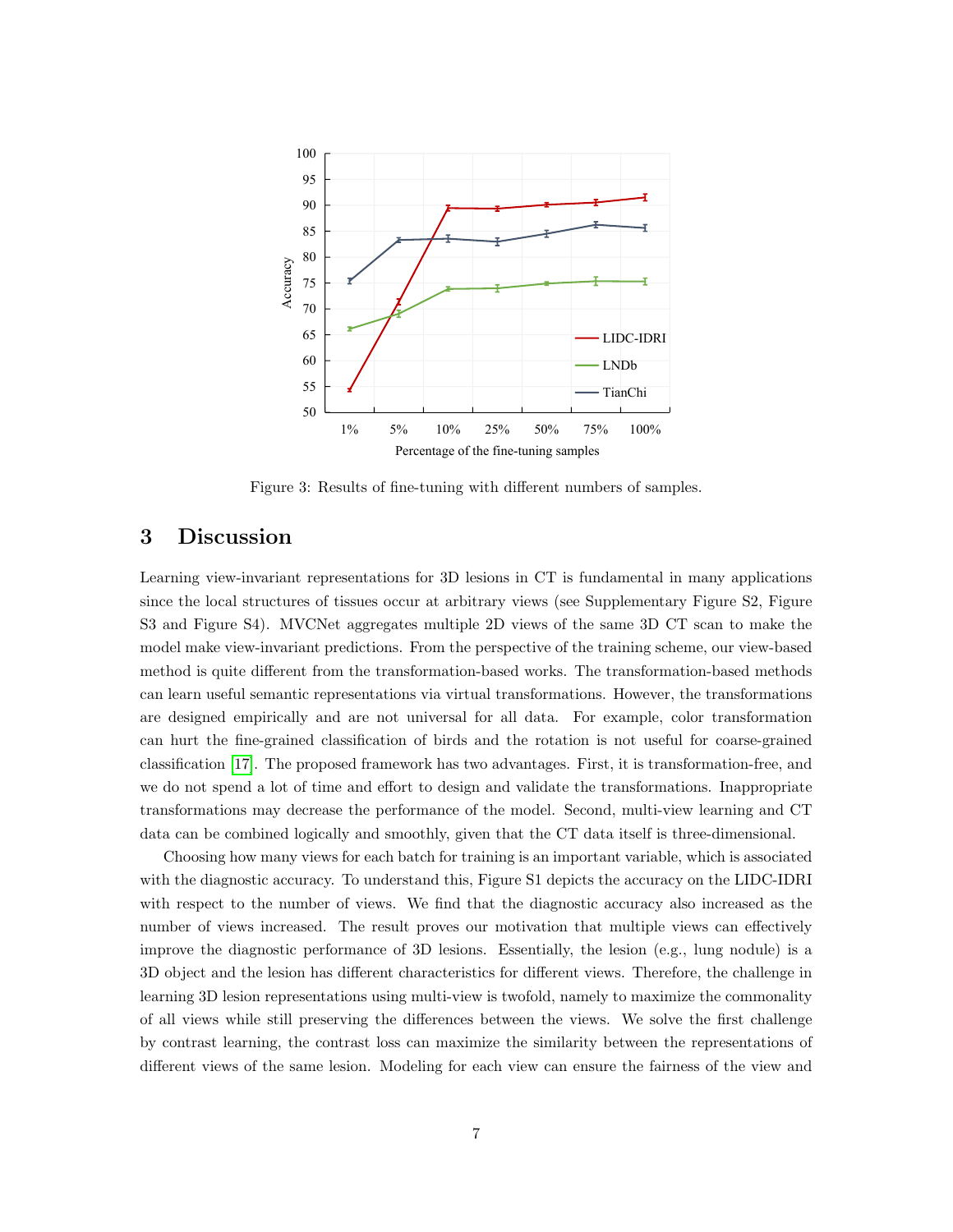<span id="page-6-0"></span>

Figure 3: Results of fine-tuning with different numbers of samples.

# 3 Discussion

Learning view-invariant representations for 3D lesions in CT is fundamental in many applications since the local structures of tissues occur at arbitrary views (see Supplementary Figure S2, Figure S3 and Figure S4). MVCNet aggregates multiple 2D views of the same 3D CT scan to make the model make view-invariant predictions. From the perspective of the training scheme, our view-based method is quite different from the transformation-based works. The transformation-based methods can learn useful semantic representations via virtual transformations. However, the transformations are designed empirically and are not universal for all data. For example, color transformation can hurt the fine-grained classification of birds and the rotation is not useful for coarse-grained classification [\[17\]](#page-14-4). The proposed framework has two advantages. First, it is transformation-free, and we do not spend a lot of time and effort to design and validate the transformations. Inappropriate transformations may decrease the performance of the model. Second, multi-view learning and CT data can be combined logically and smoothly, given that the CT data itself is three-dimensional.

Choosing how many views for each batch for training is an important variable, which is associated with the diagnostic accuracy. To understand this, Figure S1 depicts the accuracy on the LIDC-IDRI with respect to the number of views. We find that the diagnostic accuracy also increased as the number of views increased. The result proves our motivation that multiple views can effectively improve the diagnostic performance of 3D lesions. Essentially, the lesion (e.g., lung nodule) is a 3D object and the lesion has different characteristics for different views. Therefore, the challenge in learning 3D lesion representations using multi-view is twofold, namely to maximize the commonality of all views while still preserving the differences between the views. We solve the first challenge by contrast learning, the contrast loss can maximize the similarity between the representations of different views of the same lesion. Modeling for each view can ensure the fairness of the view and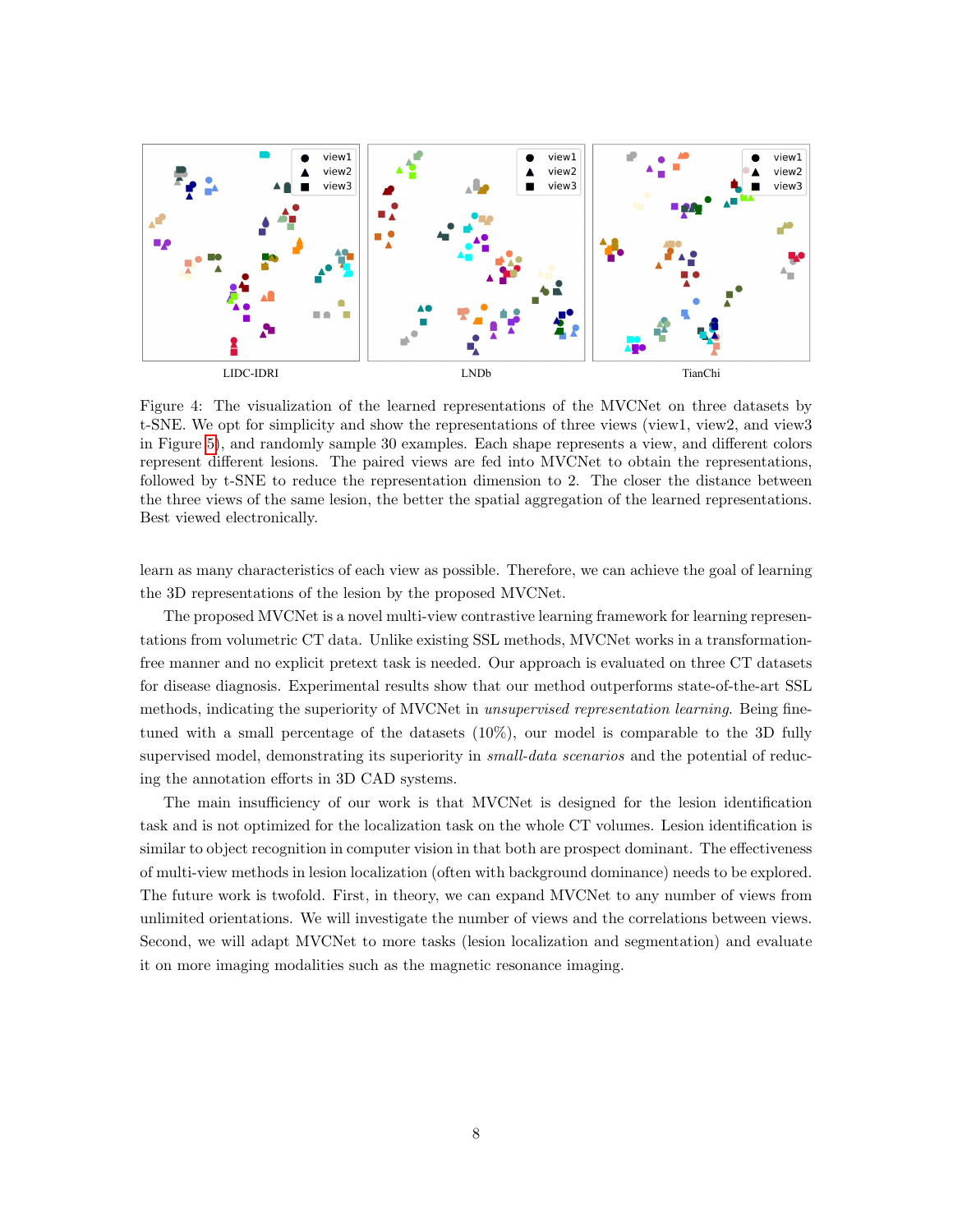<span id="page-7-0"></span>

Figure 4: The visualization of the learned representations of the MVCNet on three datasets by t-SNE. We opt for simplicity and show the representations of three views (view1, view2, and view3 in Figure [5\)](#page-9-0), and randomly sample 30 examples. Each shape represents a view, and different colors represent different lesions. The paired views are fed into MVCNet to obtain the representations, followed by t-SNE to reduce the representation dimension to 2. The closer the distance between the three views of the same lesion, the better the spatial aggregation of the learned representations. Best viewed electronically.

learn as many characteristics of each view as possible. Therefore, we can achieve the goal of learning the 3D representations of the lesion by the proposed MVCNet.

The proposed MVCNet is a novel multi-view contrastive learning framework for learning representations from volumetric CT data. Unlike existing SSL methods, MVCNet works in a transformationfree manner and no explicit pretext task is needed. Our approach is evaluated on three CT datasets for disease diagnosis. Experimental results show that our method outperforms state-of-the-art SSL methods, indicating the superiority of MVCNet in unsupervised representation learning. Being finetuned with a small percentage of the datasets (10%), our model is comparable to the 3D fully supervised model, demonstrating its superiority in *small-data scenarios* and the potential of reducing the annotation efforts in 3D CAD systems.

The main insufficiency of our work is that MVCNet is designed for the lesion identification task and is not optimized for the localization task on the whole CT volumes. Lesion identification is similar to object recognition in computer vision in that both are prospect dominant. The effectiveness of multi-view methods in lesion localization (often with background dominance) needs to be explored. The future work is twofold. First, in theory, we can expand MVCNet to any number of views from unlimited orientations. We will investigate the number of views and the correlations between views. Second, we will adapt MVCNet to more tasks (lesion localization and segmentation) and evaluate it on more imaging modalities such as the magnetic resonance imaging.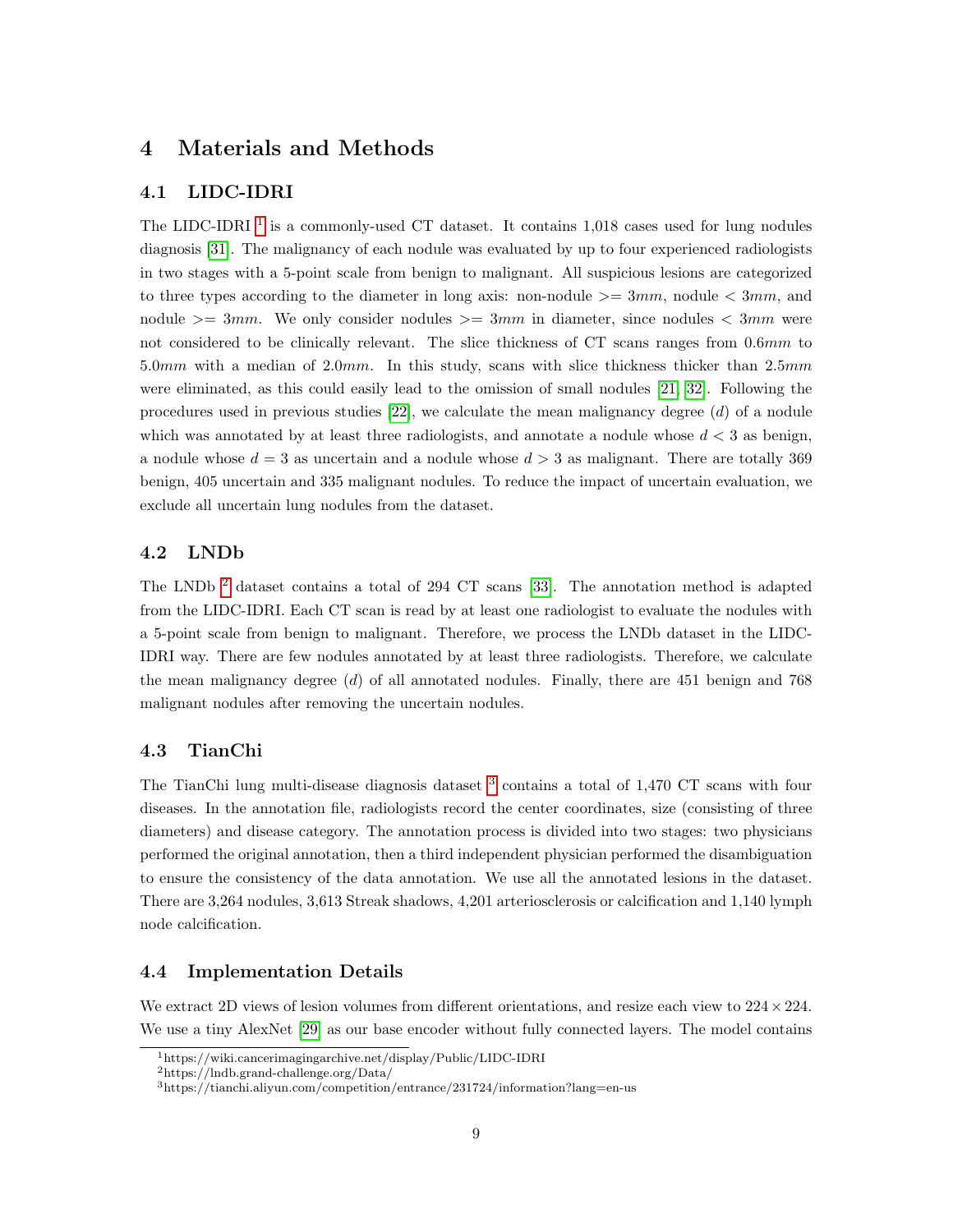# 4 Materials and Methods

### 4.1 LIDC-IDRI

The LIDC-IDRI  $<sup>1</sup>$  $<sup>1</sup>$  $<sup>1</sup>$  is a commonly-used CT dataset. It contains 1,018 cases used for lung nodules</sup> diagnosis [\[31\]](#page-15-5). The malignancy of each nodule was evaluated by up to four experienced radiologists in two stages with a 5-point scale from benign to malignant. All suspicious lesions are categorized to three types according to the diameter in long axis: non-nodule  $\geq 3mm$ , nodule  $\lt 3mm$ , and nodule  $\geq$  3mm. We only consider nodules  $\geq$  3mm in diameter, since nodules  $\lt$  3mm were not considered to be clinically relevant. The slice thickness of CT scans ranges from 0.6mm to 5.0mm with a median of 2.0mm. In this study, scans with slice thickness thicker than 2.5mm were eliminated, as this could easily lead to the omission of small nodules [\[21,](#page-14-8) [32\]](#page-15-6). Following the procedures used in previous studies  $[22]$ , we calculate the mean malignancy degree  $(d)$  of a nodule which was annotated by at least three radiologists, and annotate a nodule whose  $d < 3$  as benign, a nodule whose  $d = 3$  as uncertain and a nodule whose  $d > 3$  as malignant. There are totally 369 benign, 405 uncertain and 335 malignant nodules. To reduce the impact of uncertain evaluation, we exclude all uncertain lung nodules from the dataset.

#### 4.2 LNDb

The LNDb  $^2$  $^2$  dataset contains a total of 294 CT scans [\[33\]](#page-15-7). The annotation method is adapted from the LIDC-IDRI. Each CT scan is read by at least one radiologist to evaluate the nodules with a 5-point scale from benign to malignant. Therefore, we process the LNDb dataset in the LIDC-IDRI way. There are few nodules annotated by at least three radiologists. Therefore, we calculate the mean malignancy degree (d) of all annotated nodules. Finally, there are 451 benign and 768 malignant nodules after removing the uncertain nodules.

#### 4.3 TianChi

The TianChi lung multi-disease diagnosis dataset <sup>[3](#page-8-2)</sup> contains a total of 1,470 CT scans with four diseases. In the annotation file, radiologists record the center coordinates, size (consisting of three diameters) and disease category. The annotation process is divided into two stages: two physicians performed the original annotation, then a third independent physician performed the disambiguation to ensure the consistency of the data annotation. We use all the annotated lesions in the dataset. There are 3,264 nodules, 3,613 Streak shadows, 4,201 arteriosclerosis or calcification and 1,140 lymph node calcification.

#### 4.4 Implementation Details

We extract 2D views of lesion volumes from different orientations, and resize each view to  $224 \times 224$ . We use a tiny AlexNet [\[29\]](#page-15-3) as our base encoder without fully connected layers. The model contains

<span id="page-8-0"></span><sup>1</sup>https://wiki.cancerimagingarchive.net/display/Public/LIDC-IDRI

<span id="page-8-1"></span><sup>2</sup>https://lndb.grand-challenge.org/Data/

<span id="page-8-2"></span><sup>3</sup>https://tianchi.aliyun.com/competition/entrance/231724/information?lang=en-us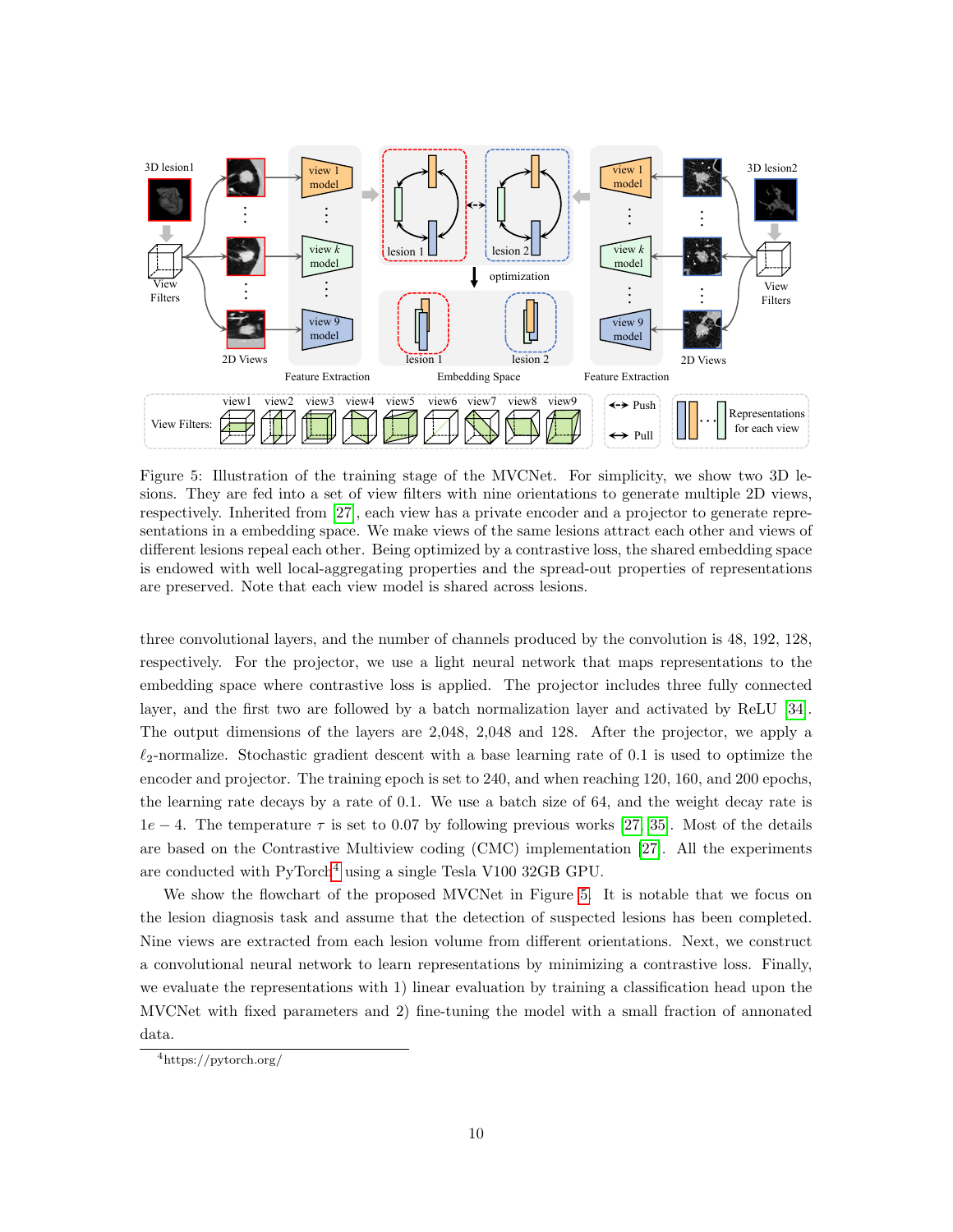<span id="page-9-0"></span>

Figure 5: Illustration of the training stage of the MVCNet. For simplicity, we show two 3D lesions. They are fed into a set of view filters with nine orientations to generate multiple 2D views, respectively. Inherited from [\[27\]](#page-15-1), each view has a private encoder and a projector to generate representations in a embedding space. We make views of the same lesions attract each other and views of different lesions repeal each other. Being optimized by a contrastive loss, the shared embedding space is endowed with well local-aggregating properties and the spread-out properties of representations are preserved. Note that each view model is shared across lesions.

three convolutional layers, and the number of channels produced by the convolution is 48, 192, 128, respectively. For the projector, we use a light neural network that maps representations to the embedding space where contrastive loss is applied. The projector includes three fully connected layer, and the first two are followed by a batch normalization layer and activated by ReLU [\[34\]](#page-15-8). The output dimensions of the layers are 2,048, 2,048 and 128. After the projector, we apply a  $\ell_2$ -normalize. Stochastic gradient descent with a base learning rate of 0.1 is used to optimize the encoder and projector. The training epoch is set to 240, and when reaching 120, 160, and 200 epochs, the learning rate decays by a rate of 0.1. We use a batch size of 64, and the weight decay rate is  $1e-4$ . The temperature  $\tau$  is set to 0.07 by following previous works [\[27,](#page-15-1) [35\]](#page-15-9). Most of the details are based on the Contrastive Multiview coding (CMC) implementation [\[27\]](#page-15-1). All the experiments are conducted with  $PyTorch<sup>4</sup>$  $PyTorch<sup>4</sup>$  $PyTorch<sup>4</sup>$  using a single Tesla V100 32GB GPU.

We show the flowchart of the proposed MVCNet in Figure [5.](#page-9-0) It is notable that we focus on the lesion diagnosis task and assume that the detection of suspected lesions has been completed. Nine views are extracted from each lesion volume from different orientations. Next, we construct a convolutional neural network to learn representations by minimizing a contrastive loss. Finally, we evaluate the representations with 1) linear evaluation by training a classification head upon the MVCNet with fixed parameters and 2) fine-tuning the model with a small fraction of annonated data.

<span id="page-9-1"></span><sup>4</sup>https://pytorch.org/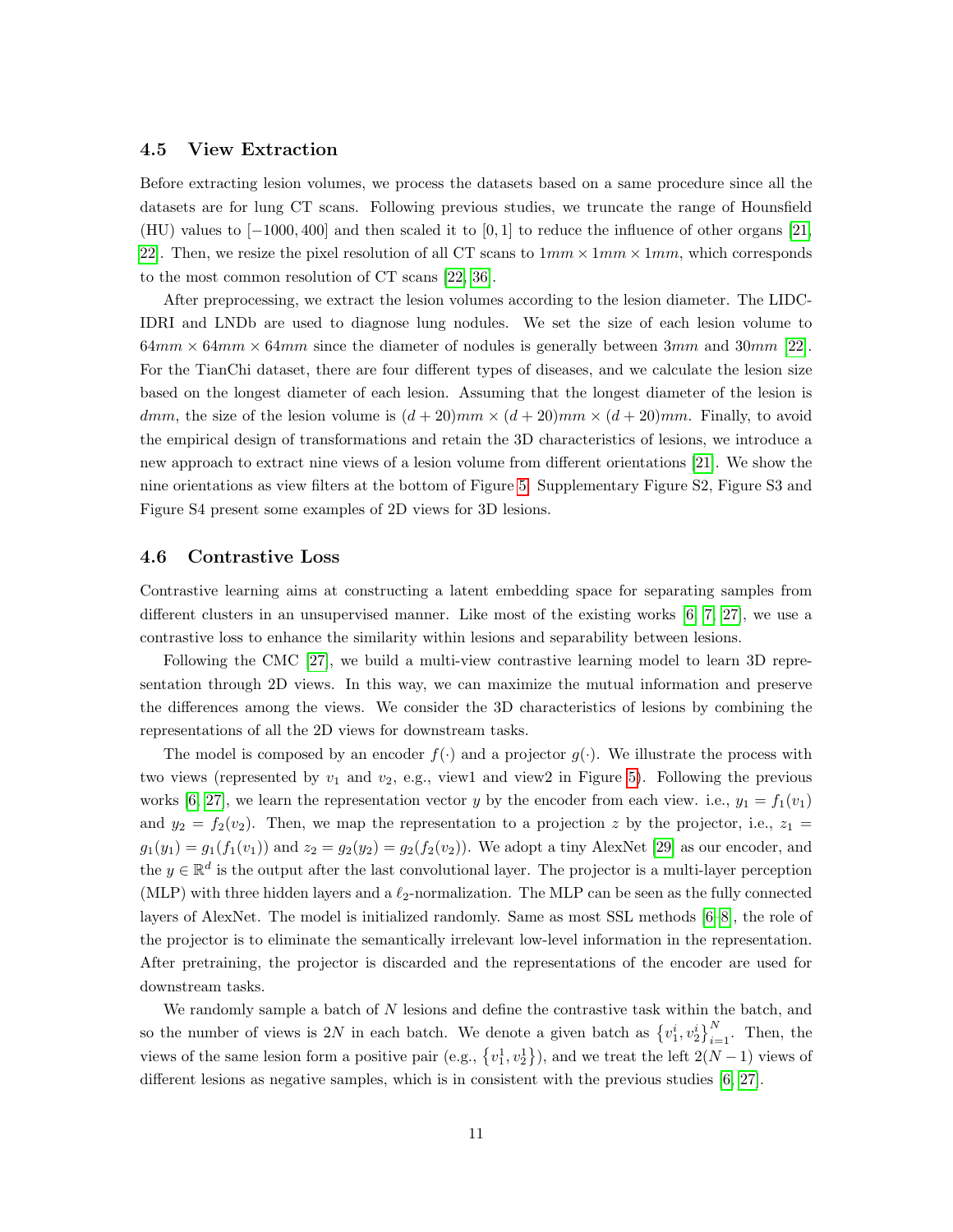#### 4.5 View Extraction

Before extracting lesion volumes, we process the datasets based on a same procedure since all the datasets are for lung CT scans. Following previous studies, we truncate the range of Hounsfield (HU) values to [−1000, 400] and then scaled it to [0, 1] to reduce the influence of other organs [\[21,](#page-14-8) 22. Then, we resize the pixel resolution of all CT scans to  $1mm \times 1mm \times 1mm$ , which corresponds to the most common resolution of CT scans [\[22,](#page-14-10) [36\]](#page-15-10).

After preprocessing, we extract the lesion volumes according to the lesion diameter. The LIDC-IDRI and LNDb are used to diagnose lung nodules. We set the size of each lesion volume to  $64mm \times 64mm \times 64mm$  since the diameter of nodules is generally between 3mm and 30mm [\[22\]](#page-14-10). For the TianChi dataset, there are four different types of diseases, and we calculate the lesion size based on the longest diameter of each lesion. Assuming that the longest diameter of the lesion is dmm, the size of the lesion volume is  $(d+20)mm \times (d+20)mm \times (d+20)mm$ . Finally, to avoid the empirical design of transformations and retain the 3D characteristics of lesions, we introduce a new approach to extract nine views of a lesion volume from different orientations [\[21\]](#page-14-8). We show the nine orientations as view filters at the bottom of Figure [5.](#page-9-0) Supplementary Figure S2, Figure S3 and Figure S4 present some examples of 2D views for 3D lesions.

#### 4.6 Contrastive Loss

Contrastive learning aims at constructing a latent embedding space for separating samples from different clusters in an unsupervised manner. Like most of the existing works [\[6,](#page-13-3) [7,](#page-13-5) [27\]](#page-15-1), we use a contrastive loss to enhance the similarity within lesions and separability between lesions.

Following the CMC [\[27\]](#page-15-1), we build a multi-view contrastive learning model to learn 3D representation through 2D views. In this way, we can maximize the mutual information and preserve the differences among the views. We consider the 3D characteristics of lesions by combining the representations of all the 2D views for downstream tasks.

The model is composed by an encoder  $f(\cdot)$  and a projector  $g(\cdot)$ . We illustrate the process with two views (represented by  $v_1$  and  $v_2$ , e.g., view1 and view2 in Figure [5\)](#page-9-0). Following the previous works [\[6,](#page-13-3) [27\]](#page-15-1), we learn the representation vector y by the encoder from each view. i.e.,  $y_1 = f_1(v_1)$ and  $y_2 = f_2(v_2)$ . Then, we map the representation to a projection z by the projector, i.e.,  $z_1 =$  $g_1(y_1) = g_1(f_1(v_1))$  and  $z_2 = g_2(y_2) = g_2(f_2(v_2))$ . We adopt a tiny AlexNet [\[29\]](#page-15-3) as our encoder, and the  $y \in \mathbb{R}^d$  is the output after the last convolutional layer. The projector is a multi-layer perception (MLP) with three hidden layers and a  $\ell_2$ -normalization. The MLP can be seen as the fully connected layers of AlexNet. The model is initialized randomly. Same as most SSL methods [\[6](#page-13-3)[–8\]](#page-13-4), the role of the projector is to eliminate the semantically irrelevant low-level information in the representation. After pretraining, the projector is discarded and the representations of the encoder are used for downstream tasks.

We randomly sample a batch of N lesions and define the contrastive task within the batch, and so the number of views is 2N in each batch. We denote a given batch as  $\{v_1^i, v_2^i\}_{i=1}^N$ . Then, the views of the same lesion form a positive pair (e.g.,  $\{v_1^1, v_2^1\}$ ), and we treat the left  $2(N-1)$  views of different lesions as negative samples, which is in consistent with the previous studies [\[6,](#page-13-3) [27\]](#page-15-1).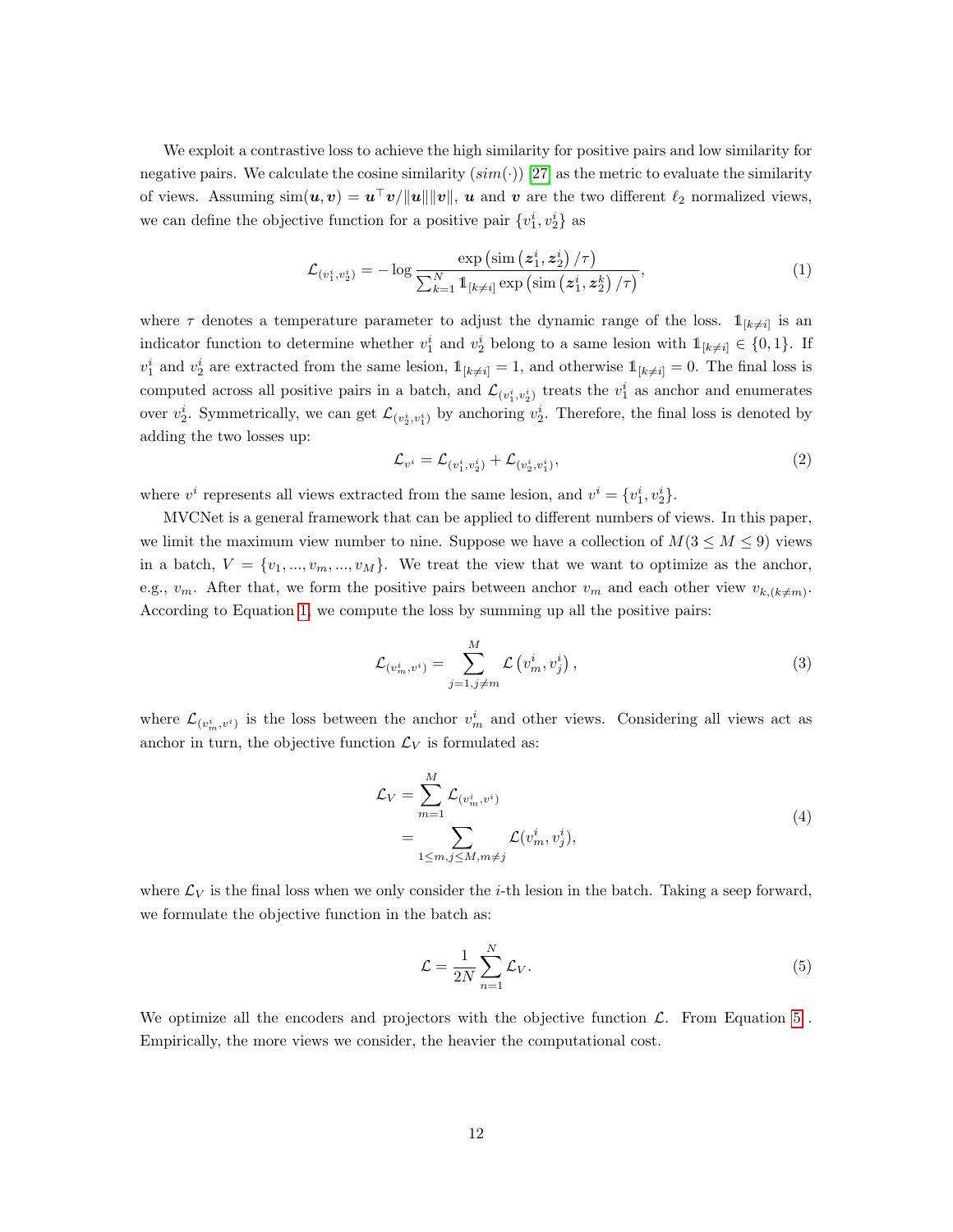We exploit a contrastive loss to achieve the high similarity for positive pairs and low similarity for negative pairs. We calculate the cosine similarity  $(sim(\cdot))$  [\[27\]](#page-15-1) as the metric to evaluate the similarity of views. Assuming  $\operatorname{sim}(u, v) = u^{\top}v/\Vert u \Vert \Vert v \Vert$ , u and v are the two different  $\ell_2$  normalized views, we can define the objective function for a positive pair  $\{v_1^i, v_2^i\}$  as

<span id="page-11-0"></span>
$$
\mathcal{L}_{\left(v_{1}^{i},v_{2}^{i}\right)} = -\log \frac{\exp \left(\operatorname{sim}\left(z_{1}^{i},z_{2}^{i}\right)/\tau\right)}{\sum_{k=1}^{N} \mathbb{1}_{\left[k \neq i\right]} \exp \left(\operatorname{sim}\left(z_{1}^{i},z_{2}^{k}\right)/\tau\right)},\tag{1}
$$

where  $\tau$  denotes a temperature parameter to adjust the dynamic range of the loss.  $\mathbb{1}_{[k\neq i]}$  is an indicator function to determine whether  $v_1^i$  and  $v_2^i$  belong to a same lesion with  $\mathbb{1}_{[k\neq i]} \in \{0,1\}$ . If  $v_1^i$  and  $v_2^i$  are extracted from the same lesion,  $\mathbb{1}_{[k\neq i]} = 1$ , and otherwise  $\mathbb{1}_{[k\neq i]} = 0$ . The final loss is computed across all positive pairs in a batch, and  $\mathcal{L}_{(v_1^i, v_2^i)}$  treats the  $v_1^i$  as anchor and enumerates over  $v_2^i$ . Symmetrically, we can get  $\mathcal{L}_{(v_2^i, v_1^i)}$  by anchoring  $v_2^i$ . Therefore, the final loss is denoted by adding the two losses up:

$$
\mathcal{L}_{v^{i}} = \mathcal{L}_{(v_{1}^{i}, v_{2}^{i})} + \mathcal{L}_{(v_{2}^{i}, v_{1}^{i})},\tag{2}
$$

where  $v^i$  represents all views extracted from the same lesion, and  $v^i = \{v_1^i, v_2^i\}$ .

MVCNet is a general framework that can be applied to different numbers of views. In this paper, we limit the maximum view number to nine. Suppose we have a collection of  $M(3 \leq M \leq 9)$  views in a batch,  $V = \{v_1, ..., v_m, ..., v_M\}$ . We treat the view that we want to optimize as the anchor, e.g.,  $v_m$ . After that, we form the positive pairs between anchor  $v_m$  and each other view  $v_{k,(k\neq m)}$ . According to Equation [1,](#page-11-0) we compute the loss by summing up all the positive pairs:

$$
\mathcal{L}_{(v_m^i, v^i)} = \sum_{j=1, j \neq m}^{M} \mathcal{L}\left(v_m^i, v_j^i\right),\tag{3}
$$

where  $\mathcal{L}_{(v_m^i, v^i)}$  is the loss between the anchor  $v_m^i$  and other views. Considering all views act as anchor in turn, the objective function  $\mathcal{L}_V$  is formulated as:

$$
\mathcal{L}_V = \sum_{m=1}^M \mathcal{L}_{(v_m^i, v^i)}
$$
\n
$$
= \sum_{1 \le m, j \le M, m \ne j} \mathcal{L}(v_m^i, v_j^i),
$$
\n(4)

where  $\mathcal{L}_V$  is the final loss when we only consider the *i*-th lesion in the batch. Taking a seep forward, we formulate the objective function in the batch as:

<span id="page-11-1"></span>
$$
\mathcal{L} = \frac{1}{2N} \sum_{n=1}^{N} \mathcal{L}_V.
$$
\n(5)

We optimize all the encoders and projectors with the objective function  $\mathcal{L}$ . From Equation [5](#page-11-1). Empirically, the more views we consider, the heavier the computational cost.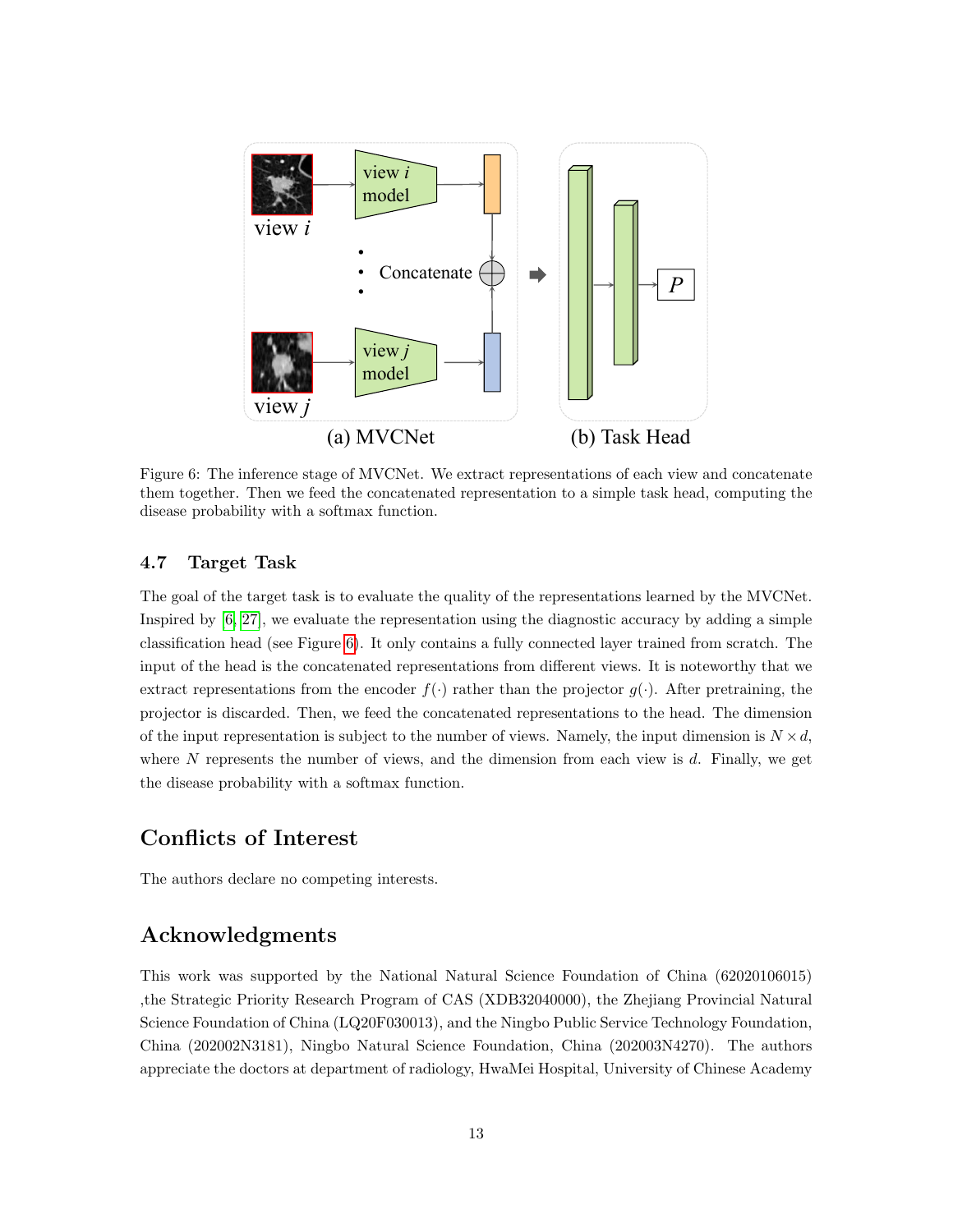<span id="page-12-0"></span>

Figure 6: The inference stage of MVCNet. We extract representations of each view and concatenate them together. Then we feed the concatenated representation to a simple task head, computing the disease probability with a softmax function.

#### 4.7 Target Task

The goal of the target task is to evaluate the quality of the representations learned by the MVCNet. Inspired by [\[6,](#page-13-3) [27\]](#page-15-1), we evaluate the representation using the diagnostic accuracy by adding a simple classification head (see Figure [6\)](#page-12-0). It only contains a fully connected layer trained from scratch. The input of the head is the concatenated representations from different views. It is noteworthy that we extract representations from the encoder  $f(\cdot)$  rather than the projector  $g(\cdot)$ . After pretraining, the projector is discarded. Then, we feed the concatenated representations to the head. The dimension of the input representation is subject to the number of views. Namely, the input dimension is  $N \times d$ , where N represents the number of views, and the dimension from each view is d. Finally, we get the disease probability with a softmax function.

# Conflicts of Interest

The authors declare no competing interests.

# Acknowledgments

This work was supported by the National Natural Science Foundation of China (62020106015) ,the Strategic Priority Research Program of CAS (XDB32040000), the Zhejiang Provincial Natural Science Foundation of China (LQ20F030013), and the Ningbo Public Service Technology Foundation, China (202002N3181), Ningbo Natural Science Foundation, China (202003N4270). The authors appreciate the doctors at department of radiology, HwaMei Hospital, University of Chinese Academy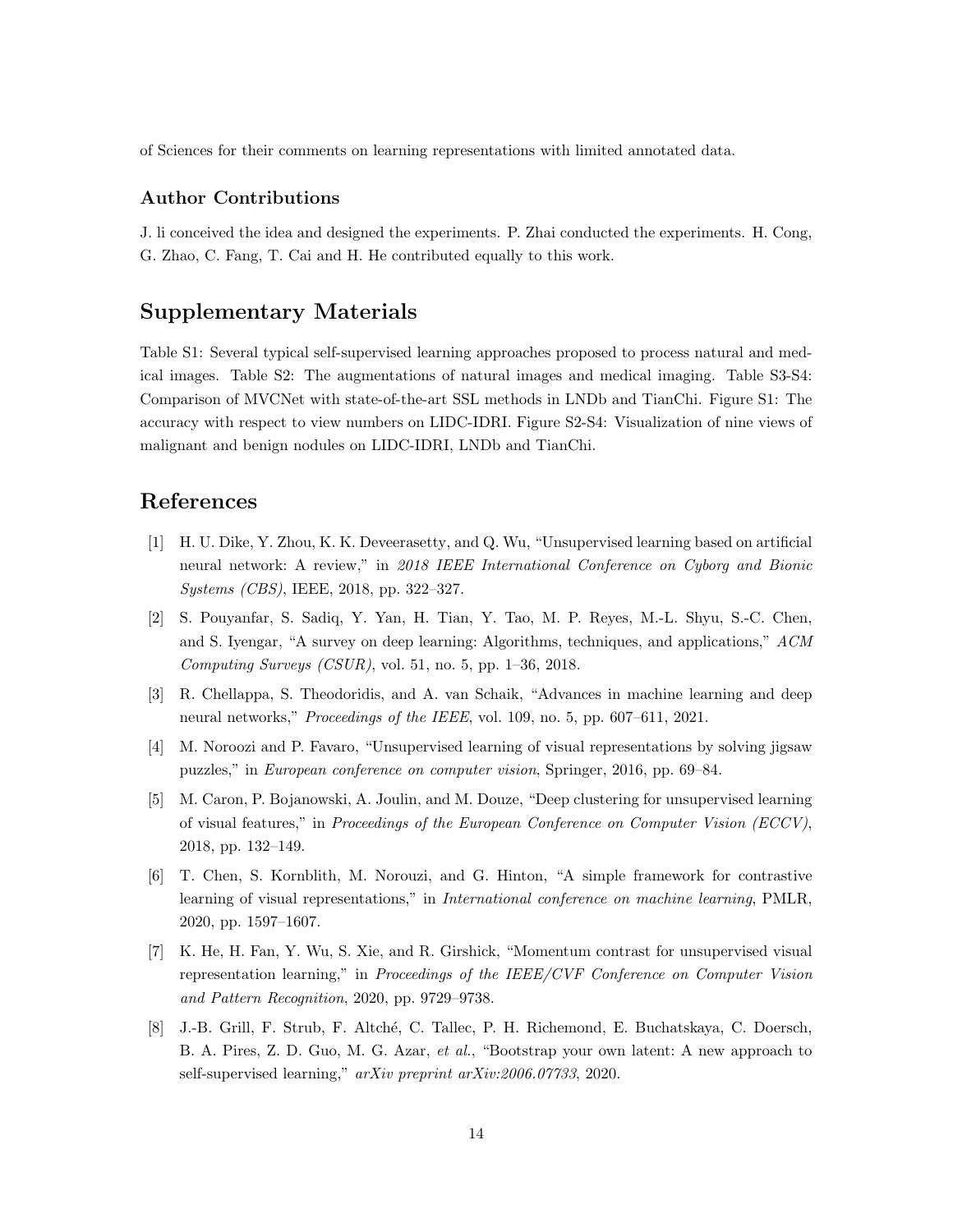of Sciences for their comments on learning representations with limited annotated data.

#### Author Contributions

J. li conceived the idea and designed the experiments. P. Zhai conducted the experiments. H. Cong, G. Zhao, C. Fang, T. Cai and H. He contributed equally to this work.

# Supplementary Materials

Table S1: Several typical self-supervised learning approaches proposed to process natural and medical images. Table S2: The augmentations of natural images and medical imaging. Table S3-S4: Comparison of MVCNet with state-of-the-art SSL methods in LNDb and TianChi. Figure S1: The accuracy with respect to view numbers on LIDC-IDRI. Figure S2-S4: Visualization of nine views of malignant and benign nodules on LIDC-IDRI, LNDb and TianChi.

## References

- <span id="page-13-0"></span>[1] H. U. Dike, Y. Zhou, K. K. Deveerasetty, and Q. Wu, "Unsupervised learning based on artificial neural network: A review," in 2018 IEEE International Conference on Cyborg and Bionic Systems (CBS), IEEE, 2018, pp. 322–327.
- [2] S. Pouyanfar, S. Sadiq, Y. Yan, H. Tian, Y. Tao, M. P. Reyes, M.-L. Shyu, S.-C. Chen, and S. Iyengar, "A survey on deep learning: Algorithms, techniques, and applications," ACM Computing Surveys  $(CSUR)$ , vol. 51, no. 5, pp. 1–36, 2018.
- <span id="page-13-1"></span>[3] R. Chellappa, S. Theodoridis, and A. van Schaik, "Advances in machine learning and deep neural networks," Proceedings of the IEEE, vol. 109, no. 5, pp. 607–611, 2021.
- <span id="page-13-2"></span>[4] M. Noroozi and P. Favaro, "Unsupervised learning of visual representations by solving jigsaw puzzles," in European conference on computer vision, Springer, 2016, pp. 69–84.
- [5] M. Caron, P. Bojanowski, A. Joulin, and M. Douze, "Deep clustering for unsupervised learning of visual features," in Proceedings of the European Conference on Computer Vision (ECCV), 2018, pp. 132–149.
- <span id="page-13-3"></span>[6] T. Chen, S. Kornblith, M. Norouzi, and G. Hinton, "A simple framework for contrastive learning of visual representations," in International conference on machine learning, PMLR, 2020, pp. 1597–1607.
- <span id="page-13-5"></span>[7] K. He, H. Fan, Y. Wu, S. Xie, and R. Girshick, "Momentum contrast for unsupervised visual representation learning," in Proceedings of the IEEE/CVF Conference on Computer Vision and Pattern Recognition, 2020, pp. 9729–9738.
- <span id="page-13-4"></span>[8] J.-B. Grill, F. Strub, F. Altch´e, C. Tallec, P. H. Richemond, E. Buchatskaya, C. Doersch, B. A. Pires, Z. D. Guo, M. G. Azar, et al., "Bootstrap your own latent: A new approach to self-supervised learning," arXiv preprint arXiv:2006.07733, 2020.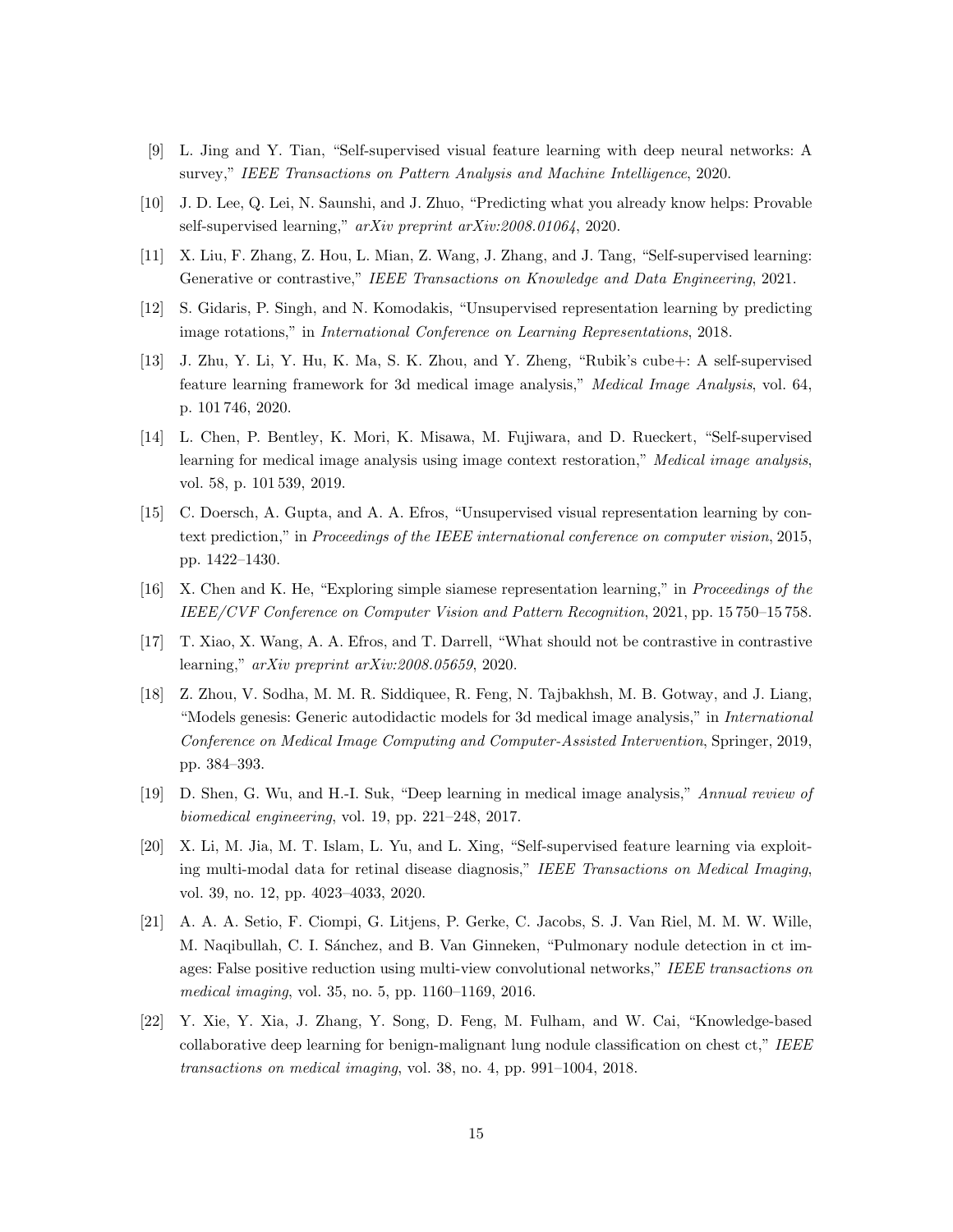- [9] L. Jing and Y. Tian, "Self-supervised visual feature learning with deep neural networks: A survey," IEEE Transactions on Pattern Analysis and Machine Intelligence, 2020.
- [10] J. D. Lee, Q. Lei, N. Saunshi, and J. Zhuo, "Predicting what you already know helps: Provable self-supervised learning," arXiv preprint arXiv:2008.01064, 2020.
- <span id="page-14-0"></span>[11] X. Liu, F. Zhang, Z. Hou, L. Mian, Z. Wang, J. Zhang, and J. Tang, "Self-supervised learning: Generative or contrastive," IEEE Transactions on Knowledge and Data Engineering, 2021.
- <span id="page-14-1"></span>[12] S. Gidaris, P. Singh, and N. Komodakis, "Unsupervised representation learning by predicting image rotations," in International Conference on Learning Representations, 2018.
- <span id="page-14-5"></span>[13] J. Zhu, Y. Li, Y. Hu, K. Ma, S. K. Zhou, and Y. Zheng, "Rubik's cube+: A self-supervised feature learning framework for 3d medical image analysis," Medical Image Analysis, vol. 64, p. 101 746, 2020.
- <span id="page-14-9"></span>[14] L. Chen, P. Bentley, K. Mori, K. Misawa, M. Fujiwara, and D. Rueckert, "Self-supervised learning for medical image analysis using image context restoration," Medical image analysis, vol. 58, p. 101 539, 2019.
- <span id="page-14-2"></span>[15] C. Doersch, A. Gupta, and A. A. Efros, "Unsupervised visual representation learning by context prediction," in Proceedings of the IEEE international conference on computer vision, 2015, pp. 1422–1430.
- <span id="page-14-3"></span>[16] X. Chen and K. He, "Exploring simple siamese representation learning," in Proceedings of the IEEE/CVF Conference on Computer Vision and Pattern Recognition, 2021, pp. 15 750–15 758.
- <span id="page-14-4"></span>[17] T. Xiao, X. Wang, A. A. Efros, and T. Darrell, "What should not be contrastive in contrastive learning," arXiv preprint arXiv:2008.05659, 2020.
- <span id="page-14-6"></span>[18] Z. Zhou, V. Sodha, M. M. R. Siddiquee, R. Feng, N. Tajbakhsh, M. B. Gotway, and J. Liang, "Models genesis: Generic autodidactic models for 3d medical image analysis," in International Conference on Medical Image Computing and Computer-Assisted Intervention, Springer, 2019, pp. 384–393.
- [19] D. Shen, G. Wu, and H.-I. Suk, "Deep learning in medical image analysis," Annual review of biomedical engineering, vol. 19, pp. 221–248, 2017.
- <span id="page-14-7"></span>[20] X. Li, M. Jia, M. T. Islam, L. Yu, and L. Xing, "Self-supervised feature learning via exploiting multi-modal data for retinal disease diagnosis," IEEE Transactions on Medical Imaging, vol. 39, no. 12, pp. 4023–4033, 2020.
- <span id="page-14-8"></span>[21] A. A. A. Setio, F. Ciompi, G. Litjens, P. Gerke, C. Jacobs, S. J. Van Riel, M. M. W. Wille, M. Naqibullah, C. I. Sánchez, and B. Van Ginneken, "Pulmonary nodule detection in ct images: False positive reduction using multi-view convolutional networks," IEEE transactions on medical imaging, vol. 35, no. 5, pp. 1160–1169, 2016.
- <span id="page-14-10"></span>[22] Y. Xie, Y. Xia, J. Zhang, Y. Song, D. Feng, M. Fulham, and W. Cai, "Knowledge-based collaborative deep learning for benign-malignant lung nodule classification on chest ct," IEEE transactions on medical imaging, vol. 38, no. 4, pp. 991–1004, 2018.